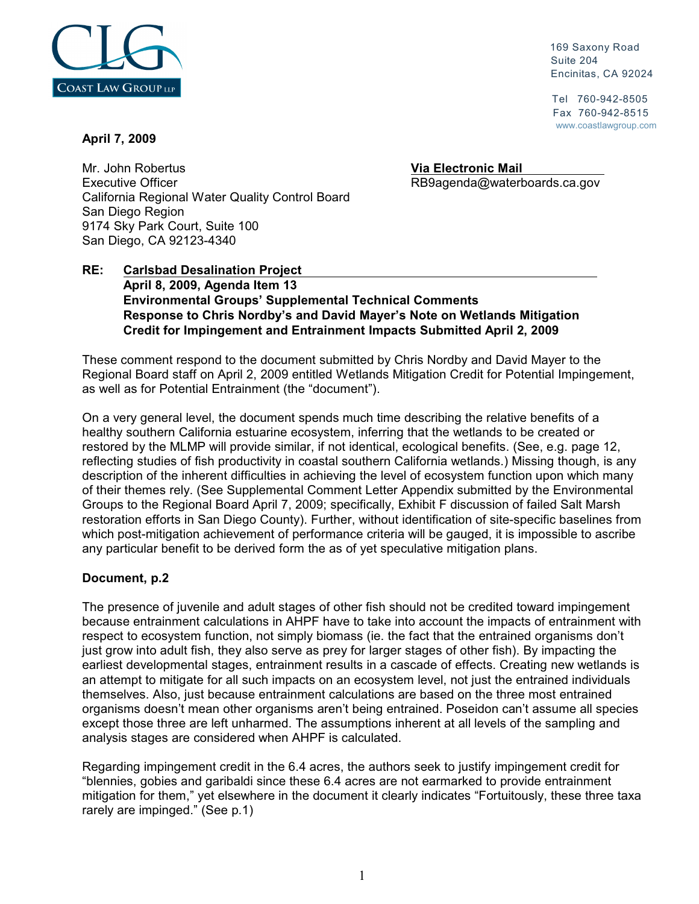

 169 Saxony Road Suite 204 Encinitas, CA 92024

 Tel 760-942-8505 Fax 760-942-8515 www.coastlawgroup.com

**April 7, 2009**

Mr. John Robertus **Via Electronic Mail**  Executive Officer **Executive Officer RB9agenda@waterboards.ca.gov** California Regional Water Quality Control Board San Diego Region 9174 Sky Park Court, Suite 100 San Diego, CA 92123-4340

#### **RE: Carlsbad Desalination Project April 8, 2009, Agenda Item 13 Environmental Groups' Supplemental Technical Comments Response to Chris Nordby's and David Mayer's Note on Wetlands Mitigation Credit for Impingement and Entrainment Impacts Submitted April 2, 2009**

These comment respond to the document submitted by Chris Nordby and David Mayer to the Regional Board staff on April 2, 2009 entitled Wetlands Mitigation Credit for Potential Impingement, as well as for Potential Entrainment (the "document").

On a very general level, the document spends much time describing the relative benefits of a healthy southern California estuarine ecosystem, inferring that the wetlands to be created or restored by the MLMP will provide similar, if not identical, ecological benefits. (See, e.g. page 12, reflecting studies of fish productivity in coastal southern California wetlands.) Missing though, is any description of the inherent difficulties in achieving the level of ecosystem function upon which many of their themes rely. (See Supplemental Comment Letter Appendix submitted by the Environmental Groups to the Regional Board April 7, 2009; specifically, Exhibit F discussion of failed Salt Marsh restoration efforts in San Diego County). Further, without identification of site-specific baselines from which post-mitigation achievement of performance criteria will be gauged, it is impossible to ascribe any particular benefit to be derived form the as of yet speculative mitigation plans.

## **Document, p.2**

The presence of juvenile and adult stages of other fish should not be credited toward impingement because entrainment calculations in AHPF have to take into account the impacts of entrainment with respect to ecosystem function, not simply biomass (ie. the fact that the entrained organisms don't just grow into adult fish, they also serve as prey for larger stages of other fish). By impacting the earliest developmental stages, entrainment results in a cascade of effects. Creating new wetlands is an attempt to mitigate for all such impacts on an ecosystem level, not just the entrained individuals themselves. Also, just because entrainment calculations are based on the three most entrained organisms doesn't mean other organisms aren't being entrained. Poseidon can't assume all species except those three are left unharmed. The assumptions inherent at all levels of the sampling and analysis stages are considered when AHPF is calculated.

Regarding impingement credit in the 6.4 acres, the authors seek to justify impingement credit for "blennies, gobies and garibaldi since these 6.4 acres are not earmarked to provide entrainment mitigation for them," yet elsewhere in the document it clearly indicates "Fortuitously, these three taxa rarely are impinged." (See p.1)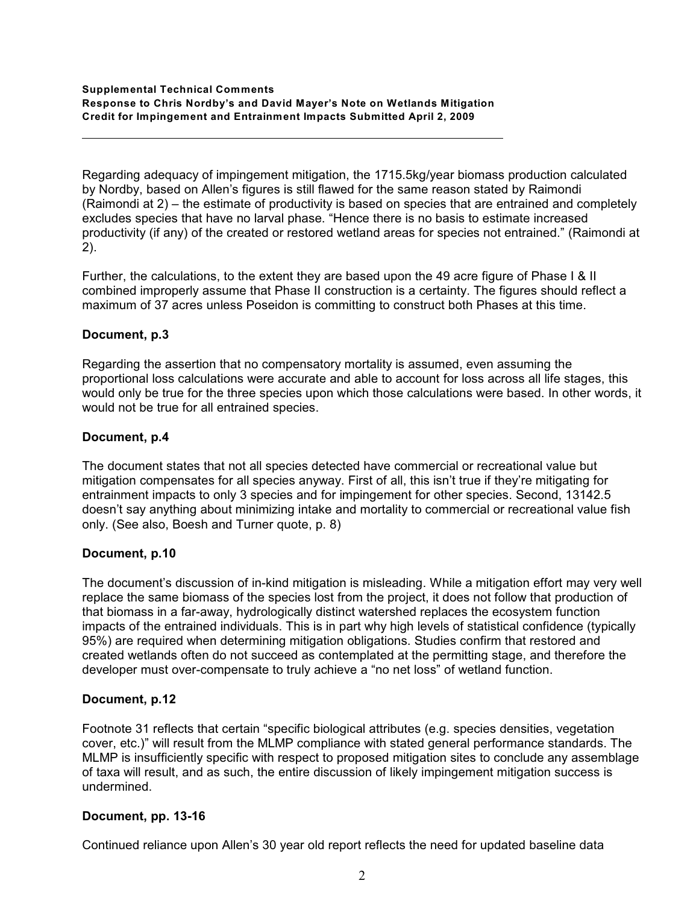Regarding adequacy of impingement mitigation, the 1715.5kg/year biomass production calculated by Nordby, based on Allen's figures is still flawed for the same reason stated by Raimondi (Raimondi at 2) – the estimate of productivity is based on species that are entrained and completely excludes species that have no larval phase. "Hence there is no basis to estimate increased productivity (if any) of the created or restored wetland areas for species not entrained." (Raimondi at 2).

Further, the calculations, to the extent they are based upon the 49 acre figure of Phase I & II combined improperly assume that Phase II construction is a certainty. The figures should reflect a maximum of 37 acres unless Poseidon is committing to construct both Phases at this time.

# **Document, p.3**

 $\overline{a}$ 

Regarding the assertion that no compensatory mortality is assumed, even assuming the proportional loss calculations were accurate and able to account for loss across all life stages, this would only be true for the three species upon which those calculations were based. In other words, it would not be true for all entrained species.

# **Document, p.4**

The document states that not all species detected have commercial or recreational value but mitigation compensates for all species anyway. First of all, this isn't true if they're mitigating for entrainment impacts to only 3 species and for impingement for other species. Second, 13142.5 doesn't say anything about minimizing intake and mortality to commercial or recreational value fish only. (See also, Boesh and Turner quote, p. 8)

## **Document, p.10**

The document's discussion of in-kind mitigation is misleading. While a mitigation effort may very well replace the same biomass of the species lost from the project, it does not follow that production of that biomass in a far-away, hydrologically distinct watershed replaces the ecosystem function impacts of the entrained individuals. This is in part why high levels of statistical confidence (typically 95%) are required when determining mitigation obligations. Studies confirm that restored and created wetlands often do not succeed as contemplated at the permitting stage, and therefore the developer must over-compensate to truly achieve a "no net loss" of wetland function.

## **Document, p.12**

Footnote 31 reflects that certain "specific biological attributes (e.g. species densities, vegetation cover, etc.)" will result from the MLMP compliance with stated general performance standards. The MLMP is insufficiently specific with respect to proposed mitigation sites to conclude any assemblage of taxa will result, and as such, the entire discussion of likely impingement mitigation success is undermined.

## **Document, pp. 13-16**

Continued reliance upon Allen's 30 year old report reflects the need for updated baseline data